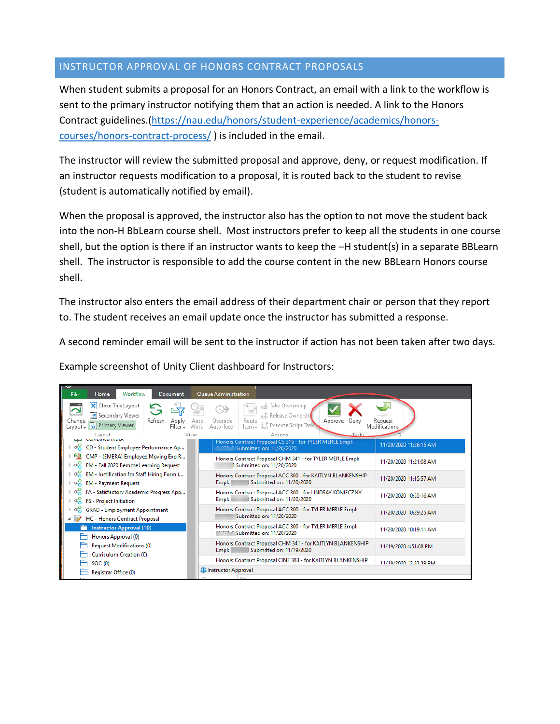## INSTRUCTOR APPROVAL OF HONORS CONTRACT PROPOSALS

When student submits a proposal for an Honors Contract, an email with a link to the workflow is sent to the primary instructor notifying them that an action is needed. A link to the Honors Contract guidelines.[\(https://nau.edu/honors/student-experience/academics/honors](https://nau.edu/honors/student-experience/academics/honors-courses/honors-contract-process/)[courses/honors-contract-process/](https://nau.edu/honors/student-experience/academics/honors-courses/honors-contract-process/) ) is included in the email.

The instructor will review the submitted proposal and approve, deny, or request modification. If an instructor requests modification to a proposal, it is routed back to the student to revise (student is automatically notified by email).

When the proposal is approved, the instructor also has the option to not move the student back into the non-H BbLearn course shell. Most instructors prefer to keep all the students in one course shell, but the option is there if an instructor wants to keep the –H student(s) in a separate BBLearn shell. The instructor is responsible to add the course content in the new BBLearn Honors course shell.

The instructor also enters the email address of their department chair or person that they report to. The student receives an email update once the instructor has submitted a response.

A second reminder email will be sent to the instructor if action has not been taken after two days.

Example screenshot of Unity Client dashboard for Instructors:

| U<br>Home<br>Workflow<br>File<br>Document                                                                                                                         | Queue Administration                                                                                                                                                       |                          |  |
|-------------------------------------------------------------------------------------------------------------------------------------------------------------------|----------------------------------------------------------------------------------------------------------------------------------------------------------------------------|--------------------------|--|
| X Close This Layout<br>∼<br>Secondary Viewer<br>Refresh<br>Change<br>Apply<br>Primary Viewer<br>Layout –<br>Filter-<br>Lavout                                     | Take Ownership<br>P<br>Release Ownership<br>Override<br>Route<br>Auto<br>Deny<br>Approve<br>Execute Script Task<br>Work<br>Item -<br>Auto-feed<br>Actions<br>Tasks<br>View | Request<br>Modifications |  |
| Company moun<br>$\triangleright$ $\alpha_{\mathbf{S}}^{\mathbf{Q}}$<br>CD - Student Employee Performance Ap                                                       | Honors Contract Proposal CS 315 - for TYLER MERLE Empl:<br>Submitted on: 11/20/2020                                                                                        | 11/20/2020 11:26:15 AM   |  |
| ЕQ<br>CMP - (EMERA) Employee Moving Exp R<br>∝<br>EM - Fall 2020 Remote Learning Request                                                                          | Honors Contract Proposal CHM 341 - for TYLER MERLE Empl:<br>3 Submitted on: 11/20/2020                                                                                     | 11/20/2020 11:21:08 AM   |  |
| $\triangleright$ $\alpha_{\mathbf{S}}^{\mathbf{Q}}$<br>EM - Justification for Staff Hiring Form (<br>$\triangleright$ $\alpha_n^0$<br><b>EM - Payment Request</b> | Honors Contract Proposal ACC 300 - for KAITLYN BLANKENSHIP<br>3 Submitted on: 11/20/2020<br>Empl: 6                                                                        | 11/20/2020 11:15:57 AM   |  |
| FA - Satisfactory Academic Progress App<br>$\triangleright$ $\alpha_n^0$<br><b>FS</b> - Project Initiation                                                        | Honors Contract Proposal ACC 300 - for LINDSAY KONIECZNY<br>3 Submitted on: 11/20/2020<br>Empl: 6                                                                          | 11/20/2020 10:55:16 AM   |  |
| $\triangleright$ $\alpha_n^{\mathcal{O}}$<br><b>GRAD - Employment Appointment</b><br>$\overline{A}$ (i)<br><b>HC - Honors Contract Proposal</b>                   | Honors Contract Proposal ACC 300 - for TYLER MERLE Empl:<br>Submitted on: 11/20/2020                                                                                       | 11/20/2020 10:29:25 AM   |  |
| <b>Instructor Approval (10)</b><br>Honors Approval (0)                                                                                                            | Honors Contract Proposal ACC 300 - for TYLER MERLE Empl:<br><sup>11</sup> Submitted on: 11/20/2020                                                                         | 11/20/2020 10:19:11 AM   |  |
| <b>Request Modifications (0)</b>                                                                                                                                  | Honors Contract Proposal CHM 341 - for KAITLYN BLANKENSHIP<br>3 Submitted on: 11/19/2020<br>Empl: (                                                                        | 11/19/2020 4:51:08 PM    |  |
| Curriculum Creation (0)<br>SOC (0)                                                                                                                                | Honors Contract Proposal CINE 383 - for KAITLYN BLANKENSHIP                                                                                                                | 11/19/2020 12:33:39 PM   |  |
| <b>MA</b> Instructor Approval<br>Registrar Office (0)                                                                                                             |                                                                                                                                                                            |                          |  |